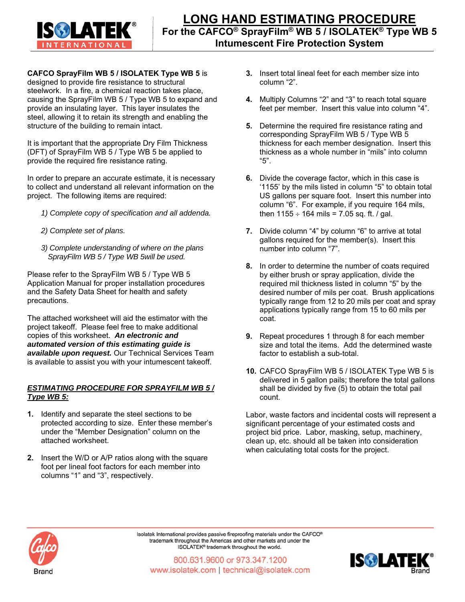

## **CAFCO SprayFilm WB 5 / ISOLATEK Type WB 5** is

designed to provide fire resistance to structural steelwork. In a fire, a chemical reaction takes place, causing the SprayFilm WB 5 / Type WB 5 to expand and provide an insulating layer. This layer insulates the steel, allowing it to retain its strength and enabling the structure of the building to remain intact.

It is important that the appropriate Dry Film Thickness (DFT) of SprayFilm WB 5 / Type WB 5 be applied to provide the required fire resistance rating.

In order to prepare an accurate estimate, it is necessary to collect and understand all relevant information on the project. The following items are required:

- *1) Complete copy of specification and all addenda.*
- *2) Complete set of plans.*
- *3) Complete understanding of where on the plans SprayFilm WB 5 / Type WB 5will be used.*

Please refer to the SprayFilm WB 5 / Type WB 5 Application Manual for proper installation procedures and the Safety Data Sheet for health and safety precautions.

The attached worksheet will aid the estimator with the project takeoff. Please feel free to make additional copies of this worksheet. *An electronic and automated version of this estimating guide is available upon request.* Our Technical Services Team is available to assist you with your intumescent takeoff.

## *ESTIMATING PROCEDURE FOR SPRAYFILM WB 5 / Type WB 5:*

- **1.** Identify and separate the steel sections to be protected according to size. Enter these member's under the "Member Designation" column on the attached worksheet.
- **2.** Insert the W/D or A/P ratios along with the square foot per lineal foot factors for each member into columns "1" and "3", respectively.
- **3.** Insert total lineal feet for each member size into column "2".
- **4.** Multiply Columns "2" and "3" to reach total square feet per member. Insert this value into column "4".
- **5.** Determine the required fire resistance rating and corresponding SprayFilm WB 5 / Type WB 5 thickness for each member designation. Insert this thickness as a whole number in "mils" into column "5".
- **6.** Divide the coverage factor, which in this case is '1155' by the mils listed in column "5" to obtain total US gallons per square foot. Insert this number into column "6". For example, if you require 164 mils, then  $1155 \div 164$  mils = 7.05 sq. ft. / gal.
- **7.** Divide column "4" by column "6" to arrive at total gallons required for the member(s). Insert this number into column "7".
- **8.** In order to determine the number of coats required by either brush or spray application, divide the required mil thickness listed in column "5" by the desired number of mils per coat. Brush applications typically range from 12 to 20 mils per coat and spray applications typically range from 15 to 60 mils per coat.
- **9.** Repeat procedures 1 through 8 for each member size and total the items. Add the determined waste factor to establish a sub-total.
- **10.** CAFCO SprayFilm WB 5 / ISOLATEK Type WB 5 is delivered in 5 gallon pails; therefore the total gallons shall be divided by five (5) to obtain the total pail count.

Labor, waste factors and incidental costs will represent a significant percentage of your estimated costs and project bid price. Labor, masking, setup, machinery, clean up, etc. should all be taken into consideration when calculating total costs for the project.



Isolatek International provides passive fireproofing materials under the CAFCO® trademark throughout the Americas and other markets and under the ISOLATEK® trademark throughout the world.

800.631.9600 or 973.347.1200 www.isolatek.com | technical@isolatek.com